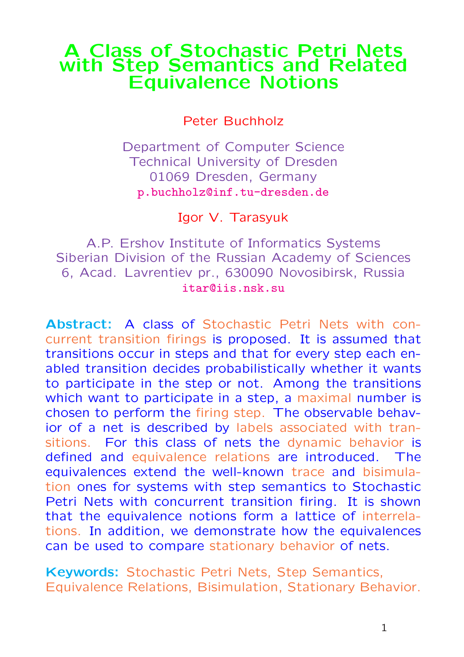## A Class of Stochastic Petri Nets with Step Semantics and Related Equivalence Notions

Peter Buchholz

Department of Computer Science Technical University of Dresden 01069 Dresden, Germany p.buchholz@inf.tu-dresden.de

## Igor V. Tarasyuk

A.P. Ershov Institute of Informatics Systems Siberian Division of the Russian Academy of Sciences 6, Acad. Lavrentiev pr., 630090 Novosibirsk, Russia itar@iis.nsk.su

Abstract: A class of Stochastic Petri Nets with concurrent transition firings is proposed. It is assumed that transitions occur in steps and that for every step each enabled transition decides probabilistically whether it wants to participate in the step or not. Among the transitions which want to participate in a step, a maximal number is chosen to perform the firing step. The observable behavior of a net is described by labels associated with transitions. For this class of nets the dynamic behavior is defined and equivalence relations are introduced. The equivalences extend the well-known trace and bisimulation ones for systems with step semantics to Stochastic Petri Nets with concurrent transition firing. It is shown that the equivalence notions form a lattice of interrelations. In addition, we demonstrate how the equivalences can be used to compare stationary behavior of nets.

Keywords: Stochastic Petri Nets, Step Semantics, Equivalence Relations, Bisimulation, Stationary Behavior.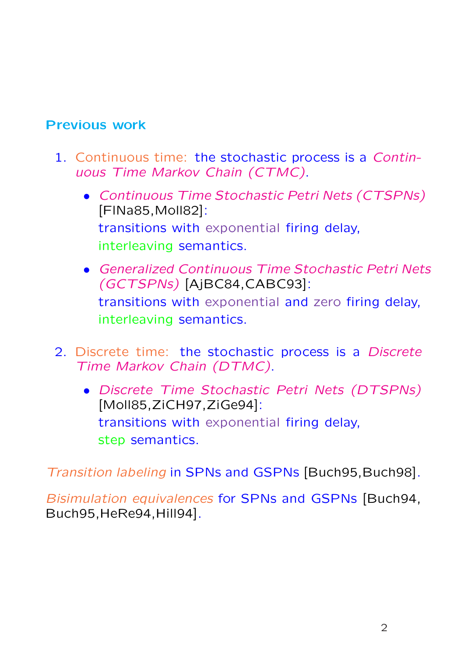## Previous work

- 1. Continuous time: the stochastic process is a Continuous Time Markov Chain (CTMC).
	- Continuous Time Stochastic Petri Nets (CTSPNs) [FlNa85,Moll82]: transitions with exponential firing delay, interleaving semantics.
	- Generalized Continuous Time Stochastic Petri Nets (GCTSPNs) [AjBC84,CABC93]: transitions with exponential and zero firing delay, interleaving semantics.
- 2. Discrete time: the stochastic process is a Discrete Time Markov Chain (DTMC).
	- Discrete Time Stochastic Petri Nets (DTSPNs) [Moll85,ZiCH97,ZiGe94]: transitions with exponential firing delay, step semantics.

Transition labeling in SPNs and GSPNs [Buch95,Buch98].

Bisimulation equivalences for SPNs and GSPNs [Buch94, Buch95,HeRe94,Hill94].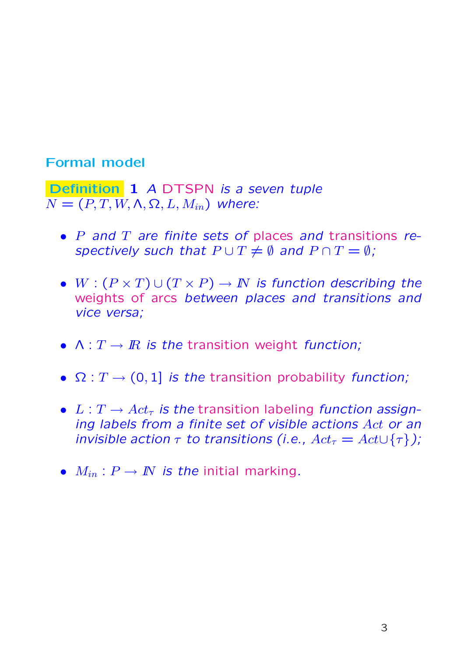## Formal model

Definition 1 A DTSPN is a seven tuple  $N = (P, T, W, \Lambda, \Omega, L, M_{in})$  where:

- P and T are finite sets of places and transitions respectively such that  $P \cup T \neq \emptyset$  and  $P \cap T = \emptyset$ ;
- $W : (P \times T) \cup (T \times P) \rightarrow \mathbb{N}$  is function describing the weights of arcs between places and transitions and vice versa;
- $\Lambda: T \to \mathbb{R}$  is the transition weight function;
- $\Omega: T \to (0,1]$  is the transition probability function;
- $L: T \rightarrow Act_{\tau}$  is the transition labeling function assigning labels from a finite set of visible actions Act or an invisible action  $\tau$  to transitions (i.e.,  $Act_{\tau} = Act \cup {\tau}$ );
- $M_{in}: P \to \mathbb{N}$  is the initial marking.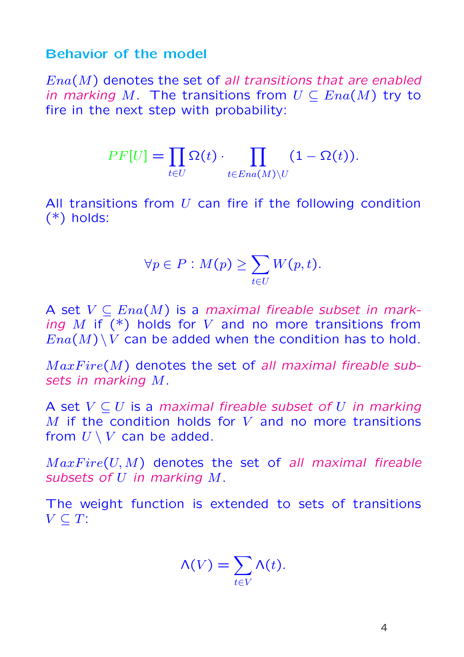### Behavior of the model

 $Ena(M)$  denotes the set of all transitions that are enabled in marking M. The transitions from  $U \subseteq Ena(M)$  try to fire in the next step with probability:

$$
PF[U] = \prod_{t \in U} \Omega(t) \cdot \prod_{t \in Ena(M) \setminus U} (1 - \Omega(t)).
$$

All transitions from  $U$  can fire if the following condition (\*) holds:

$$
\forall p \in P : M(p) \ge \sum_{t \in U} W(p, t).
$$

A set  $V \subseteq Ena(M)$  is a maximal fireable subset in marking  $M$  if  $(*)$  holds for V and no more transitions from  $Ena(M)\setminus V$  can be added when the condition has to hold.

 $MaxFire(M)$  denotes the set of all maximal fireable subsets in marking M.

A set  $V \subseteq U$  is a maximal fireable subset of U in marking  $M$  if the condition holds for V and no more transitions from  $U \setminus V$  can be added.

 $MaxFire(U, M)$  denotes the set of all maximal fireable subsets of U in marking M.

The weight function is extended to sets of transitions  $V \subseteq T$ :

$$
\Lambda(V) = \sum_{t \in V} \Lambda(t).
$$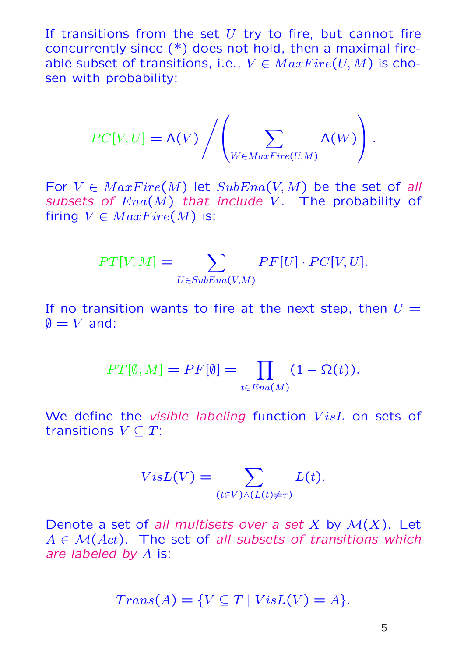If transitions from the set  $U$  try to fire, but cannot fire concurrently since (\*) does not hold, then a maximal fireable subset of transitions, i.e.,  $V \in MaxFire(U, M)$  is chosen with probability:

$$
PC[V, U] = \Lambda(V) / \left( \sum_{W \in MaxFire(U, M)} \Lambda(W) \right).
$$

For  $V \in MaxFire(M)$  let  $SubEna(V, M)$  be the set of all subsets of  $Ena(M)$  that include V. The probability of firing  $V \in MaxFire(M)$  is:

$$
PT[V, M] = \sum_{U \in SubEna(V, M)} PF[U] \cdot PC[V, U].
$$

If no transition wants to fire at the next step, then  $U =$  $\emptyset = V$  and:

$$
PT[\emptyset, M] = PF[\emptyset] = \prod_{t \in End(M)} (1 - \Omega(t)).
$$

We define the visible labeling function  $VisL$  on sets of transitions  $V \subseteq T$ :

$$
VisL(V) = \sum_{(t \in V) \land (L(t) \neq \tau)} L(t).
$$

Denote a set of all multisets over a set X by  $\mathcal{M}(X)$ . Let  $A \in \mathcal{M}(Act)$ . The set of all subsets of transitions which are labeled by A is:

$$
Trans(A) = \{ V \subseteq T \mid VisL(V) = A \}.
$$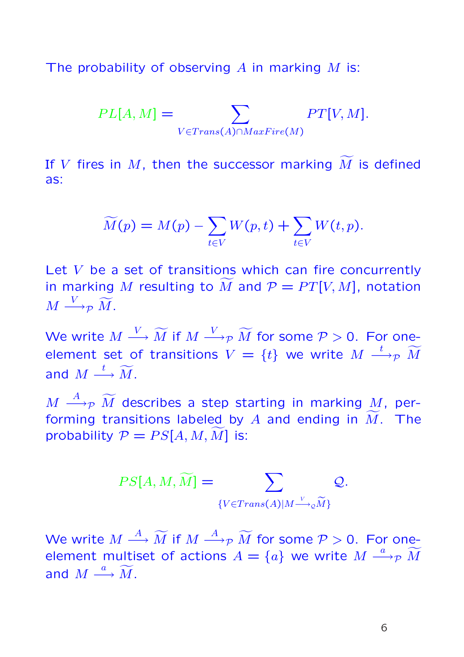The probability of observing  $A$  in marking  $M$  is:

$$
PL[A, M] = \sum_{V \in Trans(A) \cap MaxFire(M)} PT[V, M].
$$

If V fires in  $M$ , then the successor marking  $\widetilde{M}$  is defined as:

$$
\widetilde{M}(p) = M(p) - \sum_{t \in V} W(p, t) + \sum_{t \in V} W(t, p).
$$

Let V be a set of transitions which can fire concurrently in marking M resulting to M and  $P = PT[V, M]$ , notation  $M \stackrel{V}{\longrightarrow}_{\mathcal{P}} \widetilde{M}.$ 

We write  $M\stackrel{V}{\longrightarrow}\widetilde{M}$  if  $M\stackrel{V}{\longrightarrow}_{{\cal P}}\widetilde{M}$  for some  ${\cal P}>0.$  For oneelement set of transitions  $V \,=\, \{t\}$  we write  $M \stackrel{t}{\longrightarrow}_{{\cal P}} \widetilde{M}$ and  $M\stackrel{t}{\longrightarrow} \widetilde{M}.$ 

 $M\stackrel{A}{\longrightarrow}_\mathcal{P}\widetilde{M}$  describes a step starting in marking  $M$ , performing transitions labeled by A and ending in  $\widetilde{M}$ . The probability  $P = PS[A, M, \widetilde{M}]$  is:

$$
PS[A, M, \widetilde{M}] = \sum_{\{V \in Trans(A) | M \stackrel{V}{\longrightarrow}_c \widetilde{M}\}} Q.
$$

We write  $M\stackrel{A}{\longrightarrow} \widetilde{M}$  if  $M\stackrel{A}{\longrightarrow}_{{\cal P}}\widetilde{M}$  for some  ${\cal P}>0.$  For oneelement multiset of actions  $A = \{a\}$  we write  $M \stackrel{a}{\longrightarrow}_{\mathcal{P}} \widetilde{M}$ and  $M\stackrel{a}{\longrightarrow} \widetilde{M}.$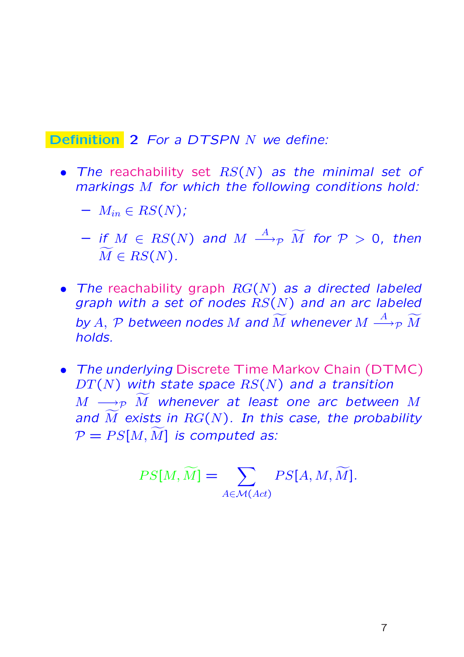Definition 2 For a DTSPN N we define:

- The reachability set  $RS(N)$  as the minimal set of markings M for which the following conditions hold:
	- $M_{in} \in RS(N);$
	- $-$  if  $M \,\in\, RS(N)$  and  $M \,\stackrel{A}{\longrightarrow}\,\, \widetilde{M}$  for  $\mathcal{P} \,>\, 0, \,$  then  $\widetilde{M} \in RS(N).$
- The reachability graph  $RG(N)$  as a directed labeled graph with a set of nodes  $RS(N)$  and an arc labeled by A,  ${\mathcal{P}}$  between nodes  $M$  and  $\widetilde{M}$  whenever  $M\stackrel{A}{\longrightarrow}_{\mathcal{P}}\widetilde{M}$ holds.
- The underlying Discrete Time Markov Chain (DTMC)  $DT(N)$  with state space  $RS(N)$  and a transition  $M \longrightarrow_{\mathcal{P}} \widetilde{M}$  whenever at least one arc between M and M exists in  $RG(N)$ . In this case, the probability  $P = PS[M, \widetilde{M}]$  is computed as:

$$
PS[M, \widetilde{M}] = \sum_{A \in \mathcal{M}(Act)} PS[A, M, \widetilde{M}].
$$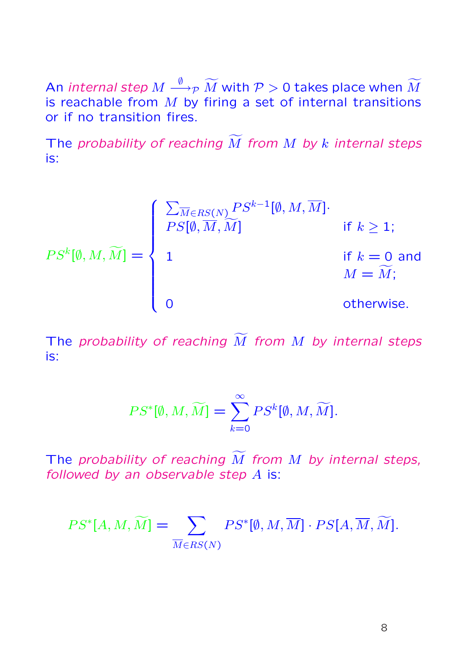An *internal step*  $M \stackrel{\emptyset}{\longrightarrow}_\mathcal{P} \widetilde{M}$  *with*  $\mathcal{P} > 0$  *takes place when*  $\widetilde{M}$ is reachable from  $M$  by firing a set of internal transitions or if no transition fires.

The probability of reaching  $\widetilde{M}$  from M by k internal steps is:

$$
PS^{k}[\emptyset, M, \widetilde{M}] = \begin{cases} \sum_{\overline{M} \in RS(N)} PS^{k-1}[\emptyset, M, \overline{M}] & \text{if } k \ge 1; \\ 1 & \text{if } k = 0 \text{ and } \\ 1 & \text{if } k = 0 \text{ and } \\ 0 & \text{otherwise.} \end{cases}
$$

The probability of reaching  $\widetilde{M}$  from M by internal steps is:

$$
PS^*[\emptyset, M, \widetilde{M}] = \sum_{k=0}^{\infty} PS^k[\emptyset, M, \widetilde{M}].
$$

The probability of reaching  $\widetilde{M}$  from M by internal steps, followed by an observable step A is:

$$
PS^*[A, M, \widetilde{M}] = \sum_{\overline{M} \in RS(N)} PS^*[\emptyset, M, \overline{M}] \cdot PS[A, \overline{M}, \widetilde{M}].
$$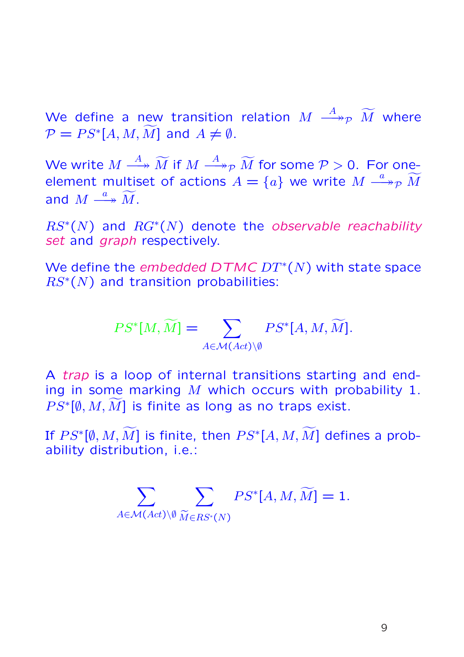We define a new transition relation  $M \stackrel{A}{\longrightarrow}_{\mathcal{P}} \widetilde{M}$  where  $\mathcal{P}=P S^*[A, M, \widetilde{M}]$  and  $A\neq \emptyset.$ 

We write  $M\stackrel{A}{\longrightarrow}\widetilde{M}$  if  $M\stackrel{A}{\longrightarrow}_{\mathcal{P}}\widetilde{M}$  for some  $\mathcal{P}>0.$  For oneelement multiset of actions  $A = \{a\}$  we write  $M \stackrel{a}{\longrightarrow}_{\mathcal{P}} \widetilde{M}$ and  $M\stackrel{a}{\longrightarrow} \widetilde{M}.$ 

 $RS<sup>*</sup>(N)$  and  $RG<sup>*</sup>(N)$  denote the observable reachability set and graph respectively.

We define the embedded DTMC  $DT^{*}(N)$  with state space  $RS<sup>*</sup>(N)$  and transition probabilities:

$$
PS^*[M, \widetilde{M}] = \sum_{A \in \mathcal{M}(Act)\backslash \emptyset} PS^*[A, M, \widetilde{M}].
$$

A trap is a loop of internal transitions starting and ending in some marking  $M$  which occurs with probability 1.  $PS^*[\emptyset, M, \widetilde{M}]$  is finite as long as no traps exist.

If  $PS^*[\emptyset, M, \widetilde{M}]$  is finite, then  $PS^*[A, M, \widetilde{M}]$  defines a probability distribution, i.e.:

$$
\sum_{A \in \mathcal{M}(Act)\setminus \emptyset} \sum_{\widetilde{M} \in RS^*(N)} PS^*[A, M, \widetilde{M}] = 1.
$$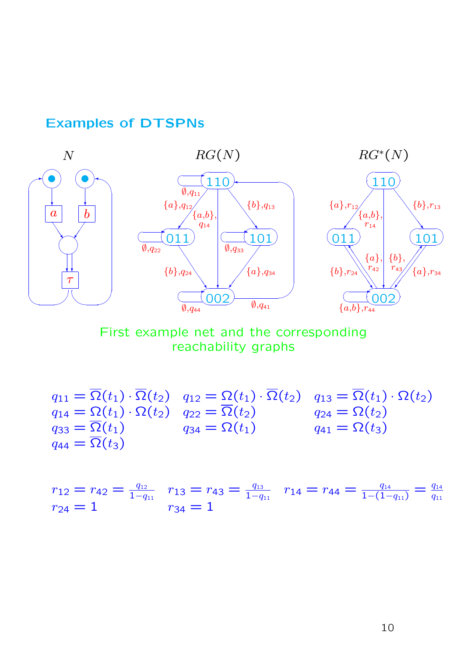#### Examples of DTSPNs



First example net and the corresponding reachability graphs

|                                                                 | $q_{11} = \Omega(t_1) \cdot \Omega(t_2)$ $q_{12} = \Omega(t_1) \cdot \Omega(t_2)$ $q_{13} = \Omega(t_1) \cdot \Omega(t_2)$ |                        |
|-----------------------------------------------------------------|----------------------------------------------------------------------------------------------------------------------------|------------------------|
| $q_{14} = \Omega(t_1) \cdot \Omega(t_2)$ $q_{22} = \Omega(t_2)$ |                                                                                                                            | $q_{24} = \Omega(t_2)$ |
| $q_{33} = \Omega(t_1)$                                          | $q_{34} = \Omega(t_1)$                                                                                                     | $q_{41} = \Omega(t_3)$ |
| $q_{44} = \Omega(t_3)$                                          |                                                                                                                            |                        |

 $r_{12} = r_{42} = \frac{q_{12}}{1-q_{11}}$   $r_{13} = r_{43} = \frac{q_{13}}{1-q_{11}}$   $r_{14} = r_{44} = \frac{q_{14}}{1-(1-q_{11})} = \frac{q_{14}}{q_{11}}$  $r_{24} = 1$   $r_{34} = 1$ 

10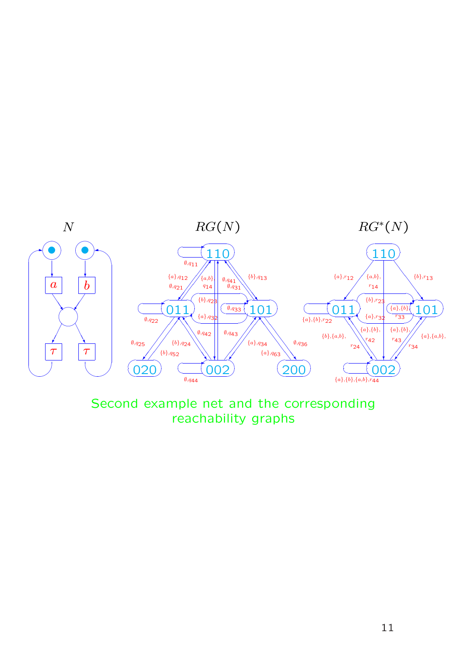

Second example net and the corresponding reachability graphs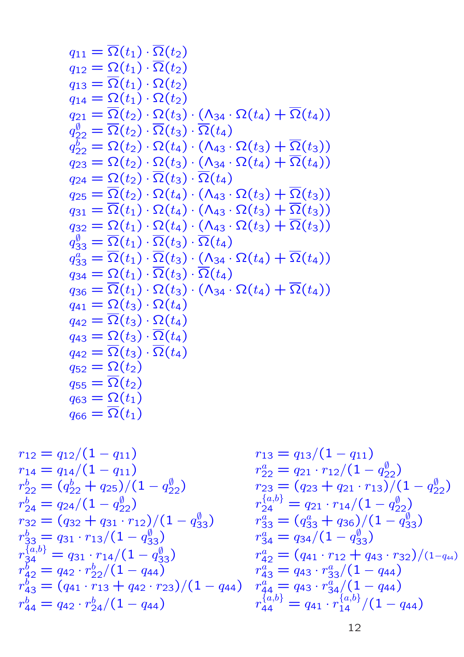$$
q_{11} = \overline{\Omega}(t_1) \cdot \overline{\Omega}(t_2)
$$
  
\n
$$
q_{12} = \Omega(t_1) \cdot \overline{\Omega}(t_2)
$$
  
\n
$$
q_{13} = \overline{\Omega}(t_1) \cdot \Omega(t_2)
$$
  
\n
$$
q_{14} = \Omega(t_1) \cdot \Omega(t_2)
$$
  
\n
$$
q_{21} = \overline{\Omega}(t_2) \cdot \Omega(t_3) \cdot (\Lambda_{34} \cdot \Omega(t_4) + \overline{\Omega}(t_4))
$$
  
\n
$$
q_{22}^0 = \overline{\Omega}(t_2) \cdot \overline{\Omega}(t_3) \cdot \overline{\Omega}(t_4)
$$
  
\n
$$
q_{22}^0 = \Omega(t_2) \cdot \Omega(t_4) \cdot (\Lambda_{43} \cdot \Omega(t_3) + \overline{\Omega}(t_3))
$$
  
\n
$$
q_{23} = \Omega(t_2) \cdot \Omega(t_3) \cdot (\Lambda_{34} \cdot \Omega(t_4) + \overline{\Omega}(t_4))
$$
  
\n
$$
q_{24} = \Omega(t_2) \cdot \overline{\Omega}(t_3) \cdot \overline{\Omega}(t_4)
$$
  
\n
$$
q_{25} = \overline{\Omega}(t_2) \cdot \Omega(t_4) \cdot (\Lambda_{43} \cdot \Omega(t_3) + \overline{\Omega}(t_3))
$$
  
\n
$$
q_{31} = \overline{\Omega}(t_1) \cdot \Omega(t_4) \cdot (\Lambda_{43} \cdot \Omega(t_3) + \overline{\Omega}(t_3))
$$
  
\n
$$
q_{32} = \Omega(t_1) \cdot \overline{\Omega}(t_4) \cdot (\Lambda_{43} \cdot \Omega(t_3) + \overline{\Omega}(t_3))
$$
  
\n
$$
q_{33}^0 = \overline{\Omega}(t_1) \cdot \overline{\Omega}(t_3) \cdot \overline{\Omega}(t_4)
$$
  
\n
$$
q_{34}^0 = \overline{\Omega}(t_1) \cdot \overline{\Omega}(t_3) \cdot \overline{\Omega}(t_4)
$$
  
\n
$$
q_{35} = \overline{\Omega}(t_1) \cdot \overline{\Omega}(t_3) \cdot \overline{\Omega}(t_4)
$$

$$
r_{12} = q_{12}/(1 - q_{11})
$$
  
\n
$$
r_{14} = q_{14}/(1 - q_{11})
$$
  
\n
$$
r_{22} = (q_{22} + q_{25})/(1 - q_{22}^{\emptyset})
$$
  
\n
$$
r_{24}^b = q_{24}/(1 - q_{22}^{\emptyset})
$$
  
\n
$$
r_{23}^b = (q_{23} + q_{21} \cdot r_{12})/(1 - r_{23}^{\emptyset})
$$
  
\n
$$
r_{24}^b = q_{21} \cdot r_{14}/(1 - r_{24}^{\emptyset})
$$
  
\n
$$
r_{33}^b = q_{31} \cdot r_{13}/(1 - q_{33}^{\emptyset})
$$
  
\n
$$
r_{34}^b = q_{34}/(1 - q_{33}^{\emptyset})
$$
  
\n
$$
r_{42}^b = q_{42} \cdot r_{22}^b/(1 - q_{44}^{\emptyset})
$$
  
\n
$$
r_{43}^b = (q_{41} \cdot r_{13} + q_{42} \cdot r_{23})/(1 - q_{44}^{\emptyset})
$$
  
\n
$$
r_{44}^b = q_{42} \cdot r_{24}^b/(1 - q_{44}^{\emptyset})
$$
  
\n
$$
r_{44}^b = q_{42} \cdot r_{24}^b/(1 - q_{44}^{\emptyset})
$$
  
\n
$$
r_{44}^b = q_{42} \cdot r_{24}^b/(1 - q_{44}^{\emptyset})
$$
  
\n
$$
r_{44}^b = q_{41} \cdot r_{13} + q_{42} \cdot r_{23})/(1 - q_{44}^{\emptyset})
$$
  
\n
$$
r_{44}^b = q_{41} \cdot r_{14}^{\{a,b\}}/(1 - q_{44}^{\{a,b\}})
$$
  
\n
$$
r_{44}^{\{a,b\}} = q_{41} \cdot r_{14}^{\{a,b\}}/(1 - q_{44}^{\{a,b\}})
$$
  
\n
$$
r_{44}^{\{a,b\}} = q_{41}
$$

$$
r_{13} = q_{13}/(1 - q_{11})
$$
\n
$$
r_{22}^{a} = q_{21} \cdot r_{12}/(1 - q_{22}^{0})
$$
\n
$$
r_{23}^{a} = (q_{23} + q_{21} \cdot r_{13})/(1 - q_{22}^{0})
$$
\n
$$
r_{24}^{\{a,b\}} = q_{21} \cdot r_{14}/(1 - q_{22}^{0})
$$
\n
$$
r_{24}^{a} = q_{21} \cdot r_{14}/(1 - q_{22}^{0})
$$
\n
$$
r_{33}^{a} = (q_{33}^{a} + q_{36})/(1 - q_{33}^{0})
$$
\n
$$
r_{34}^{a} = q_{34}/(1 - q_{33}^{0})
$$
\n
$$
r_{42}^{a} = (q_{41} \cdot r_{12} + q_{43} \cdot r_{32})/(1 - q_{44})
$$
\n
$$
r_{43}^{a} = q_{43} \cdot r_{33}^{a}/(1 - q_{44})
$$
\n
$$
r_{44}^{\{a,b\}} = q_{41} \cdot r_{14}^{\{a,b\}}/(1 - q_{44})
$$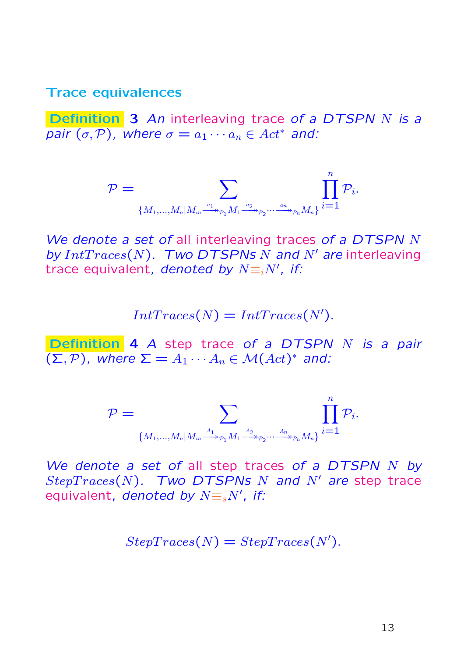### Trace equivalences

Definition 3 An interleaving trace of a DTSPN N is a pair  $(\sigma, \mathcal{P})$ , where  $\sigma = a_1 \cdots a_n \in Act^*$  and:

$$
\mathcal{P} = \sum_{\{M_1,...,M_n \mid M_{in} \overset{a_1}{\longrightarrow}_{\mathcal{P}_1} M_1 \overset{a_2}{\longrightarrow}_{\mathcal{P}_2} ... \overset{a_n}{\longrightarrow}_{\mathcal{P}_n} M_n\}} \prod_{i=1}^n \mathcal{P}_i.
$$

We denote a set of all interleaving traces of a DTSPN N by  $IntTraces(N)$ . Two DTSPNs N and N' are interleaving trace equivalent, denoted by  $N \equiv i N'$ , if:

$$
IntTraces(N) = IntTraces(N').
$$

Definition 4 A step trace of a DTSPN N is a pair  $(\Sigma, \mathcal{P})$ , where  $\Sigma = A_1 \cdots A_n \in \mathcal{M}(Act)^*$  and:

$$
\mathcal{P}=\sum_{\{M_1,...,M_n|M_{in}\overset{A_1}{\longrightarrow}_{\mathcal{P}_1}M_1\overset{A_2}{\longrightarrow}_{\mathcal{P}_2}... \overset{A_n}{\longrightarrow}_{\mathcal{P}_n}M_n\}}\prod_{i=1}^n\mathcal{P}_i.
$$

We denote a set of all step traces of a DTSPN N by  $StepTrace(N)$ . Two DTSPNs N and N' are step trace equivalent, denoted by  $N {\equiv_s} N'$ , if:

$$
StepTrace(N) = StepTrace(N').
$$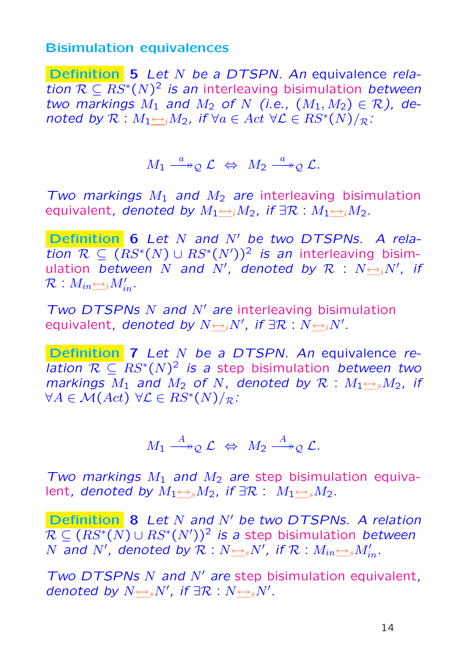## Bisimulation equivalences

Definition 5 Let N be a DTSPN. An equivalence relation  $\mathcal{R} \subseteq \overline{RS^*}(N)^2$  is an interleaving bisimulation between two markings  $M_1$  and  $M_2$  of N (i.e.,  $(M_1, M_2) \in \mathcal{R}$ ), denoted by  $\mathcal{R}: M_1 \leftrightarrow_i M_2$ , if  $\forall a \in Act \ \forall \mathcal{L} \in RS^*(N)/_{\mathcal{R}}$ :

# $M_1 \stackrel{a}{\longrightarrow}_\mathcal{Q} \mathcal{L} \Leftrightarrow M_2 \stackrel{a}{\longrightarrow}_\mathcal{Q} \mathcal{L}.$

Two markings  $M_1$  and  $M_2$  are interleaving bisimulation equivalent, denoted by  $M_1 \leftrightarrow_i M_2$ , if  $\exists \mathcal{R}: M_1 \leftrightarrow_i M_2$ .

Definition 6 Let  $N$  and  $N'$  be two DTSPNs. A relation  $\mathcal{R} \subseteq (RS^*(N) \cup RS^*(N'))^2$  is an interleaving bisimulation between N and N', denoted by  $\mathcal{R}$  :  $N \rightarrow N'$ , if  $\overline{\mathcal{R}}:M_{in\triangle i}M_{in}'.$ 

Two DTSPNs  $N$  and  $N'$  are interleaving bisimulation equivalent, denoted by  $N{\overline{\leftrightarrow}_i} N'$ , if  $\exists {\cal R}: N{\overline{\leftrightarrow}_i} N'.$ 

Definition 7 Let N be a DTSPN. An equivalence relation  $\mathcal{R} \subseteq RS^*(N)^2$  is a step bisimulation between two markings  $M_1$  and  $M_2$  of N, denoted by  $\mathcal{R}$  :  $M_1 \leftrightarrow_{s} M_2$ , if  $\forall A \in \mathcal{M}(Act) \ \forall \mathcal{L} \in RS^*(N)/_{\mathcal{R}}$ :

$$
M_1 \stackrel{A}{\longrightarrow}_{\mathcal{Q}} \mathcal{L} \Leftrightarrow M_2 \stackrel{A}{\longrightarrow}_{\mathcal{Q}} \mathcal{L}.
$$

Two markings  $M_1$  and  $M_2$  are step bisimulation equivalent, denoted by  $M_1 \leftrightarrow_s M_2$ , if  $\exists \mathcal{R}$  :  $M_1 \leftrightarrow_s M_2$ .

Definition  $8$  Let N and N' be two DTSPNs. A relation  $\overline{\mathcal{R}\subseteq (RS^*(N)\cup RS^*(N'))^2}$  is a step bisimulation between  $N$  and  $N'$ , denoted by  $\mathcal{R}:N{\Longleftrightarrow_{\scriptscriptstyle S}} N'$ , if  $\mathcal{R}:M_{in}{\Longleftrightarrow_{\scriptscriptstyle S}} M'_{in}.$ 

Two DTSPNs  $N$  and  $N'$  are step bisimulation equivalent, denoted by  $N_{\frac{\longleftrightarrow}{s}}N'$ , if  $\exists \mathcal{R}: N_{\frac{\longleftrightarrow}{s}}N'$ .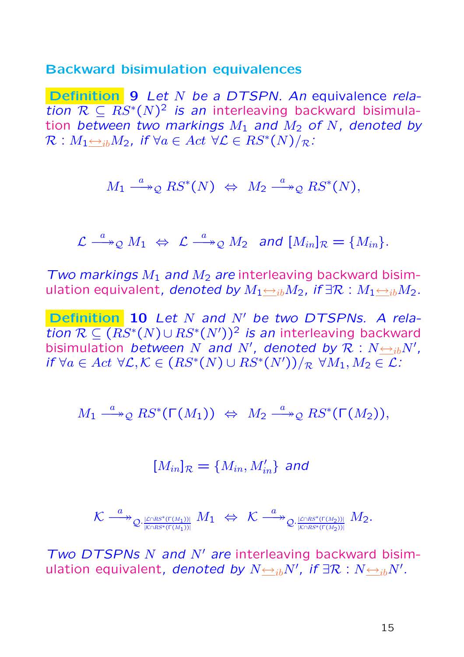#### Backward bisimulation equivalences

Definition 9 Let N be a DTSPN. An equivalence relation  $\mathcal{R} \subseteq \overline{RS^*}(N)^2$  is an interleaving backward bisimulation between two markings  $M_1$  and  $M_2$  of N, denoted by  $\mathcal{R}: M_1 \leftrightarrow_{ib} M_2$ , if  $\forall a \in Act \ \forall \mathcal{L} \in RS^*(N)/_{\mathcal{R}}$ :

$$
M_1 \stackrel{a}{\longrightarrow}_\mathcal{Q} RS^*(N) \Leftrightarrow M_2 \stackrel{a}{\longrightarrow}_\mathcal{Q} RS^*(N),
$$

 $\mathcal{L}\stackrel{a}{\longrightarrow}_\mathcal{Q} M_1\ \Leftrightarrow\ \mathcal{L}\stackrel{a}{\longrightarrow}_\mathcal{Q} M_2\ \ \text{ and }\ [M_{in}]_\mathcal{R}=\{M_{in}\}.$ 

Two markings  $M_1$  and  $M_2$  are interleaving backward bisimulation equivalent, denoted by  $M_1 \leftrightarrow_{ib} M_2$ , if  $\exists \mathcal{R}: M_1 \leftrightarrow_{ib} M_2$ .

Definition  $10$  Let N and N' be two DTSPNs. A relation  $\mathcal{R} \subseteq (\overline{RS}^*(N) \cup RS^*(N'))^2$  is an interleaving backward bisimulation between N and N', denoted by  $\mathcal{R}: N \rightarrow bN'$ , if  $\forall a \in Act \ \forall \mathcal{L}, \mathcal{K} \in (RS^*(N) \cup RS^*(N'))/_{\mathcal{R}} \ \forall M_1, M_2 \in \mathcal{L}$ :

$$
M_1 \stackrel{a}{\longrightarrow}_\mathcal{Q} RS^*(\Gamma(M_1)) \Leftrightarrow M_2 \stackrel{a}{\longrightarrow}_\mathcal{Q} RS^*(\Gamma(M_2)),
$$

$$
[M_{in}]_{\mathcal{R}} = \{M_{in}, M'_{in}\} \text{ and}
$$

$$
\mathcal{K} \xrightarrow{a} _{\mathcal{Q} \cdot \frac{|\mathcal{L} \cap RS^*(\Gamma(M_1))|}{|\mathcal{K} \cap RS^*(\Gamma(M_1))|}} M_1 \Leftrightarrow \mathcal{K} \xrightarrow{a} _{\mathcal{Q} \cdot \frac{|\mathcal{L} \cap RS^*(\Gamma(M_2))|}{|\mathcal{K} \cap RS^*(\Gamma(M_2))|}} M_2.
$$

Two DTSPNs  $N$  and  $N'$  are interleaving backward bisimulation equivalent, denoted by  $N_{\frac{\sum_{ib}N}{s}}$ , if  $\exists \mathcal{R}: N_{\frac{\sum_{ib}N}{s}}$ .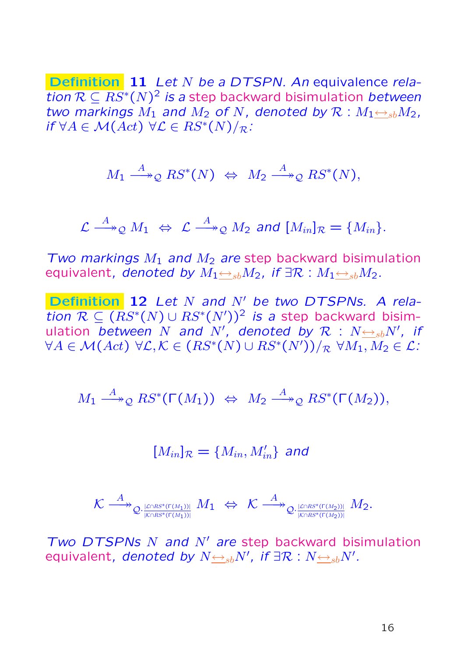Definition 11 Let N be a DTSPN. An equivalence relation  $\mathcal{R} \subseteq \overline{RS}^*(N)^2$  is a step backward bisimulation between two markings  $M_1$  and  $M_2$  of N, denoted by  $\mathcal{R}: M_1 \leftrightarrow_{sb} M_2$ , if  $\forall A \in \mathcal{M}(Act) \ \forall \mathcal{L} \in RS^*(N)/_{\mathcal{R}}$ :

$$
M_1 \stackrel{A}{\longrightarrow}_\mathcal{Q} RS^*(N) \ \Leftrightarrow \ M_2 \stackrel{A}{\longrightarrow}_\mathcal{Q} RS^*(N),
$$

 $\mathcal{L}\stackrel{A}{\longrightarrow}_\mathcal{Q} M_1\ \Leftrightarrow\ \mathcal{L}\stackrel{A}{\longrightarrow}_\mathcal{Q} M_2$  and  $[M_{in}]_\mathcal{R}=\{M_{in}\}.$ 

Two markings  $M_1$  and  $M_2$  are step backward bisimulation equivalent, denoted by  $M_1 \leftrightarrow_{sb} M_2$ , if  $\exists \mathcal{R}: M_1 \leftrightarrow_{sb} M_2$ .

Definition  $12$  Let N and N' be two DTSPNs. A relation  $\mathcal{R} \subseteq (RS^*(N) \cup RS^*(N'))^2$  is a step backward bisimulation between N and N', denoted by  $\mathcal{R}$  :  $N \rightarrow b N'$ , if  $\forall A \in \mathcal{M}(Act) \; \forall \mathcal{L}, \mathcal{K} \in (RS^*(N) \cup RS^*(N'))/_{\mathcal{R}} \; \forall M_1, M_2 \in \mathcal{L}$ 

$$
M_1 \stackrel{A}{\longrightarrow}_\mathcal{Q} RS^*(\Gamma(M_1)) \Leftrightarrow M_2 \stackrel{A}{\longrightarrow}_\mathcal{Q} RS^*(\Gamma(M_2)),
$$

$$
[M_{in}]_{\mathcal{R}} = \{M_{in}, M'_{in}\} \text{ and}
$$

$$
\mathcal{K} \stackrel{A}{\longrightarrow}_{{\mathcal{Q}}\cdot \frac{|\mathcal{L}\cap RS^*(\Gamma(M_1))|}{|\mathcal{K}\cap RS^*(\Gamma(M_1))|}} M_1 \;\; \Leftrightarrow \;\; \mathcal{K} \stackrel{A}{\longrightarrow}_{{\mathcal{Q}}\cdot \frac{|\mathcal{L}\cap RS^*(\Gamma(M_2))|}{|\mathcal{K}\cap RS^*(\Gamma(M_2))|}} M_2.
$$

Two DTSPNs  $N$  and  $N'$  are step backward bisimulation equivalent, denoted by  $N{\overline{\leftrightarrow}_{sb}}N'$ , if  $\exists {\cal R}: N{\overline{\leftrightarrow}_{sb}}N'.$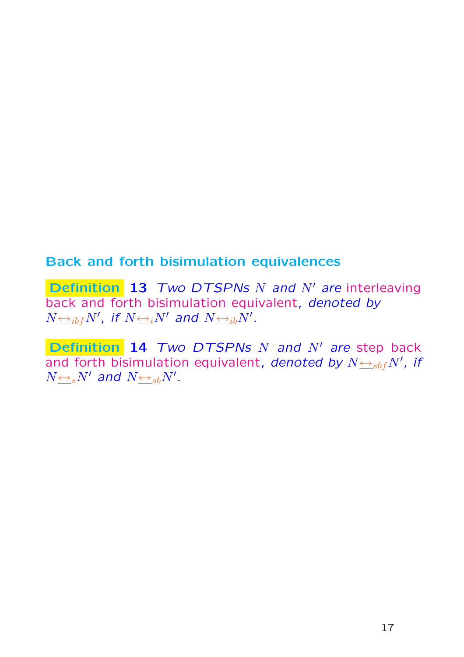## Back and forth bisimulation equivalences

Definition 13 Two DTSPNs  $N$  and  $N'$  are interleaving back and forth bisimulation equivalent, denoted by  $N{\underline{\leftrightarrow}}_{ibf}N'$ , if  $N{\underline{\leftrightarrow}}_{i}N'$  and  $N{\underline{\leftrightarrow}}_{ib}N'.$ 

Definition  $14$  Two DTSPNs N and N' are step back and forth bisimulation equivalent, denoted by  $N{\color{black} \Longleftrightarrow_{sbf}N' }$ , if  $N_{\triangleq s}N'$  and  $N_{\triangleq sb}N'.$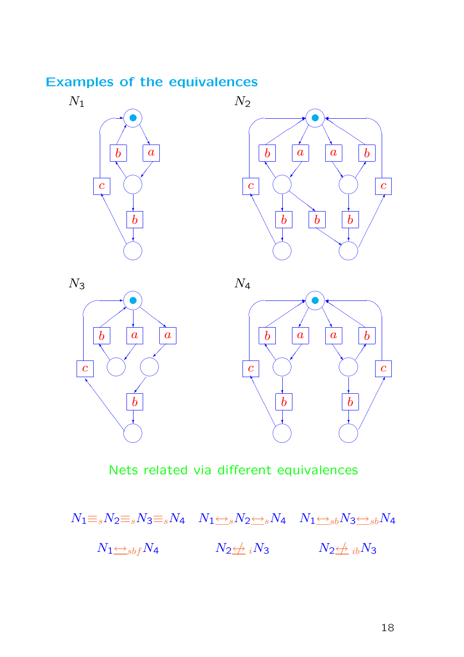## Examples of the equivalences







## Nets related via different equivalences

$$
N_1 \equiv_s N_2 \equiv_s N_3 \equiv_s N_4 \quad N_1 \leftrightarrow_s N_2 \leftrightarrow_s N_4 \quad N_1 \leftrightarrow_s b N_3 \leftrightarrow_s b N_4
$$

$$
N_1 \leftrightarrow_s b_f N_4 \quad N_2 \leftrightarrow_s i N_3 \quad N_2 \leftrightarrow_s i N_3
$$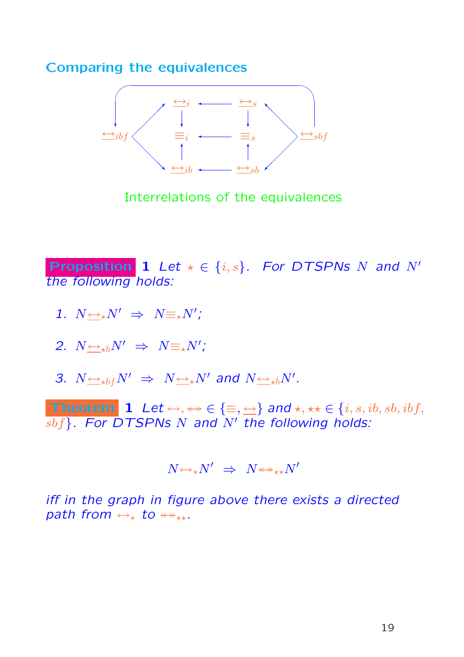#### Comparing the equivalences



Interrelations of the equivalences

**Proposition 1** Let  $\star \in \{i, s\}$ . For DTSPNs N and N' the following holds:

- 1.  $N \rightarrow N^{\prime} \Rightarrow N \equiv_{\star} N^{\prime}$ ;
- 2.  $N \leftrightarrow bN' \Rightarrow N \equiv k N'$ ;
- 3.  $N \leftrightarrow_{\star} b f N' \Rightarrow N \leftrightarrow_{\star} N'$  and  $N \leftrightarrow_{\star} b N'$ .

**Theorem 1** Let  $\leftrightarrow$ ,  $\leftrightarrow \in \{\equiv, \leftrightarrow\}$  and  $\star$ ,  $\star \star \in \{i, s, ib, sb, ibf, cb\}$  $sbf$  For DTSPNs N and  $N'$  the following holds:

$$
N {\hookrightarrow_{\star}} N' \;\Rightarrow\; N {\leftrightarrow_{\star\star}} N'
$$

iff in the graph in figure above there exists a directed path from  $\leftrightarrow_{\star}$  to  $\leftrightarrow_{\star\star}$ .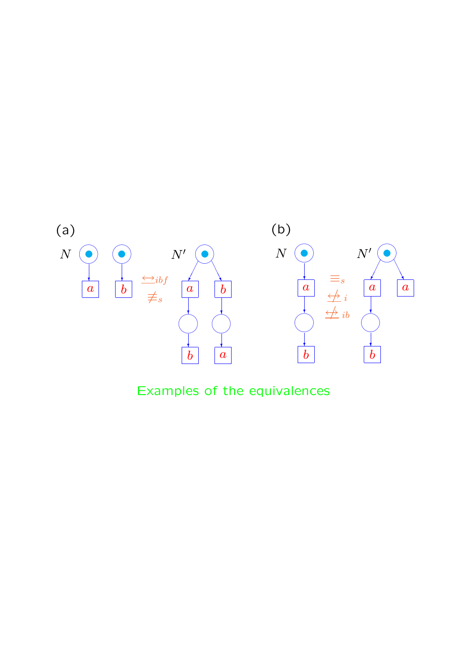

## Examples of the equivalences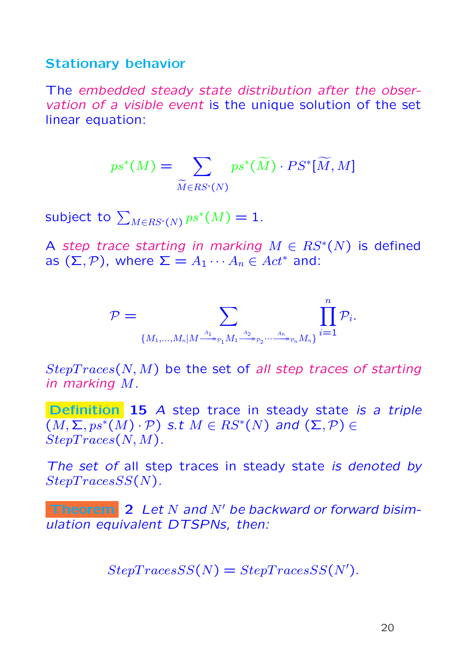### Stationary behavior

The embedded steady state distribution after the observation of a visible event is the unique solution of the set linear equation:

$$
ps^*(M) = \sum_{\widetilde{M} \in RS^*(N)} ps^*(\widetilde{M}) \cdot PS^*[\widetilde{M}, M]
$$

subject to  $\sum_{M\in RS^*(N)} ps^*(M) = 1.$ 

A step trace starting in marking  $M \in RS^*(N)$  is defined as  $(\Sigma, \mathcal{P})$ , where  $\Sigma = A_1 \cdots A_n \in Act^*$  and:

$$
\mathcal{P} = \sum_{\{M_1,...,M_n | M \stackrel{A_1}{\longrightarrow}_{\mathcal{P}_1} M_1 \stackrel{A_2}{\longrightarrow}_{\mathcal{P}_2} ... \stackrel{A_n}{\longrightarrow}_{\mathcal{P}_n} M_n\}} \prod_{i=1}^n \mathcal{P}_i.
$$

 $StepTrace(N, M)$  be the set of all step traces of starting in marking M.

Definition 15 A step trace in steady state is a triple  $\overline{(M, \Sigma, ps^*(M) \cdot \mathcal{P})}$  s.t  $M \in RS^*(N)$  and  $(\Sigma, \mathcal{P}) \in$  $StepTrace(N, M)$ .

The set of all step traces in steady state is denoted by  $Step TracesSS(N)$ .

**Theorem** 2 Let N and N' be backward or forward bisimulation equivalent DTSPNs, then:

$$
StepTracesSS(N) = StepTracesSS(N').
$$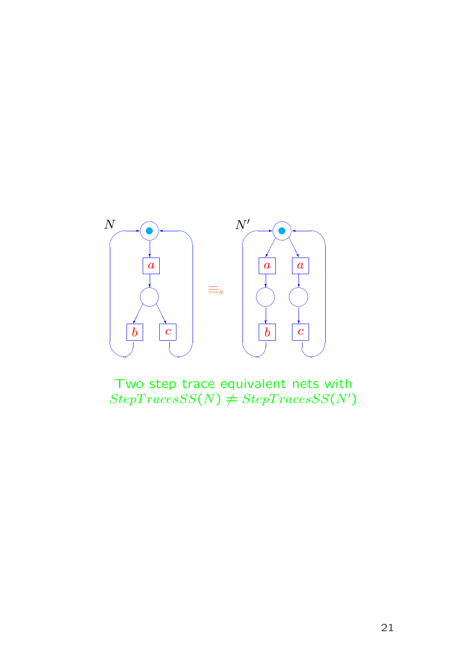

Two step trace equivalent nets with  $Step TracesSS(N) \neq Step TracesSS(N)$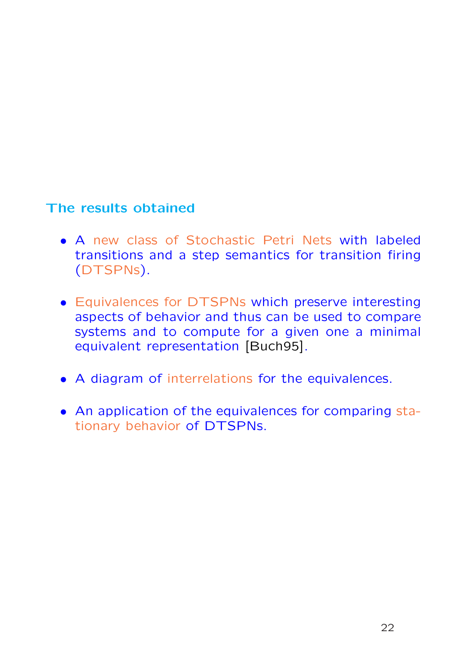## The results obtained

- A new class of Stochastic Petri Nets with labeled transitions and a step semantics for transition firing (DTSPNs).
- Equivalences for DTSPNs which preserve interesting aspects of behavior and thus can be used to compare systems and to compute for a given one a minimal equivalent representation [Buch95].
- A diagram of interrelations for the equivalences.
- An application of the equivalences for comparing stationary behavior of DTSPNs.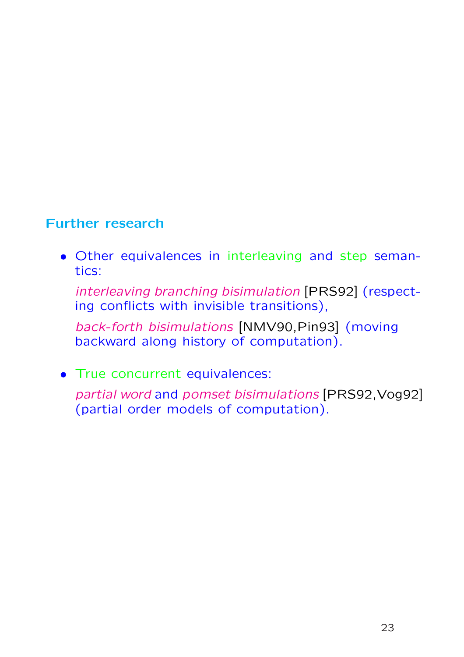## Further research

• Other equivalences in interleaving and step semantics:

interleaving branching bisimulation [PRS92] (respecting conflicts with invisible transitions),

back-forth bisimulations [NMV90,Pin93] (moving backward along history of computation).

• True concurrent equivalences:

partial word and pomset bisimulations [PRS92,Vog92] (partial order models of computation).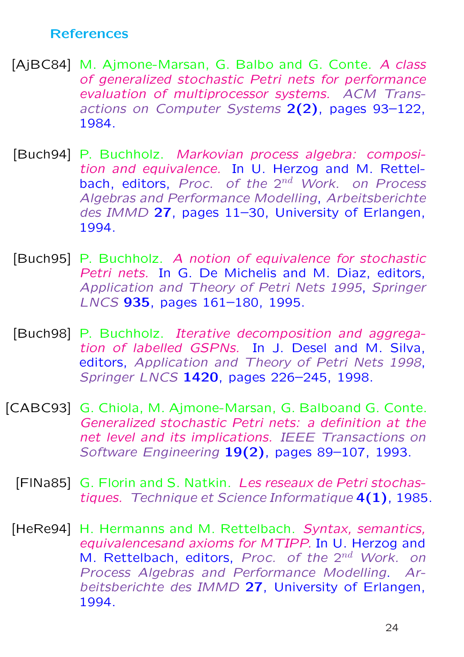### References

- [AjBC84] M. Ajmone-Marsan, G. Balbo and G. Conte. A class of generalized stochastic Petri nets for performance evaluation of multiprocessor systems. ACM Transactions on Computer Systems 2(2), pages 93-122, 1984.
- [Buch94] P. Buchholz. Markovian process algebra: composition and equivalence. In U. Herzog and M. Rettelbach, editors, Proc. of the  $2^{nd}$  Work. on Process Algebras and Performance Modelling, Arbeitsberichte des IMMD 27, pages 11-30, University of Erlangen, 1994.
- [Buch95] P. Buchholz. A notion of equivalence for stochastic Petri nets. In G. De Michelis and M. Diaz, editors, Application and Theory of Petri Nets 1995, Springer LNCS 935, pages 161–180, 1995.

[Buch98] P. Buchholz. Iterative decomposition and aggregation of labelled GSPNs. In J. Desel and M. Silva, editors, Application and Theory of Petri Nets 1998, Springer LNCS 1420, pages 226–245, 1998.

- [CABC93] G. Chiola, M. Ajmone-Marsan, G. Balboand G. Conte. Generalized stochastic Petri nets: a definition at the net level and its implications. IEEE Transactions on Software Engineering 19(2), pages 89-107, 1993.
	- [FlNa85] G. Florin and S. Natkin. Les reseaux de Petri stochastiques. Technique et Science Informatique 4(1), 1985.
	- [HeRe94] H. Hermanns and M. Rettelbach. Syntax, semantics, equivalencesand axioms for MTIPP. In U. Herzog and M. Rettelbach, editors, Proc. of the  $2^{nd}$  Work. on Process Algebras and Performance Modelling. Arbeitsberichte des IMMD 27, University of Erlangen, 1994.